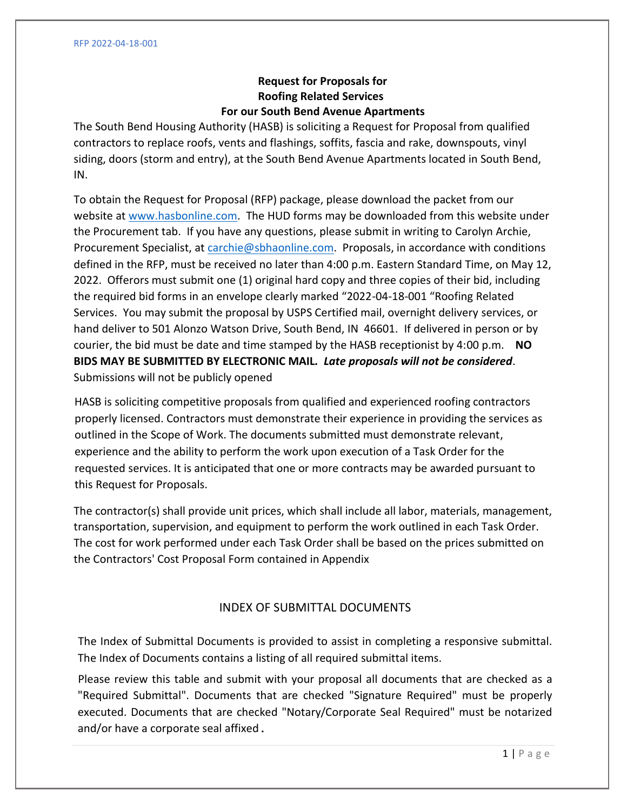### **Request for Proposals for Roofing Related Services For our South Bend Avenue Apartments**

The South Bend Housing Authority (HASB) is soliciting a Request for Proposal from qualified contractors to replace roofs, vents and flashings, soffits, fascia and rake, downspouts, vinyl siding, doors (storm and entry), at the South Bend Avenue Apartments located in South Bend, IN.

To obtain the Request for Proposal (RFP) package, please download the packet from our website at [www.hasbonline.com.](http://www.hasbonline.com/) The HUD forms may be downloaded from this website under the Procurement tab. If you have any questions, please submit in writing to Carolyn Archie, Procurement Specialist, a[t carchie@sbhaonline.com.](mailto:carchie@sbhaonline.com) Proposals, in accordance with conditions defined in the RFP, must be received no later than 4:00 p.m. Eastern Standard Time, on May 12, 2022. Offerors must submit one (1) original hard copy and three copies of their bid, including the required bid forms in an envelope clearly marked "2022-04-18-001 "Roofing Related Services. You may submit the proposal by USPS Certified mail, overnight delivery services, or hand deliver to 501 Alonzo Watson Drive, South Bend, IN 46601. If delivered in person or by courier, the bid must be date and time stamped by the HASB receptionist by 4:00 p.m. **NO BIDS MAY BE SUBMITTED BY ELECTRONIC MAIL***. Late proposals will not be considered*. Submissions will not be publicly opened

HASB is soliciting competitive proposals from qualified and experienced roofing contractors properly licensed. Contractors must demonstrate their experience in providing the services as outlined in the Scope of Work. The documents submitted must demonstrate relevant, experience and the ability to perform the work upon execution of a Task Order for the requested services. It is anticipated that one or more contracts may be awarded pursuant to this Request for Proposals.

The contractor(s) shall provide unit prices, which shall include all labor, materials, management, transportation, supervision, and equipment to perform the work outlined in each Task Order. The cost for work performed under each Task Order shall be based on the prices submitted on the Contractors' Cost Proposal Form contained in Appendix

### INDEX OF SUBMITTAL DOCUMENTS

The Index of Submittal Documents is provided to assist in completing a responsive submittal. The Index of Documents contains a listing of all required submittal items.

Please review this table and submit with your proposal all documents that are checked as a "Required Submittal". Documents that are checked "Signature Required" must be properly executed. Documents that are checked "Notary/Corporate Seal Required" must be notarized and/or have a corporate seal affixed.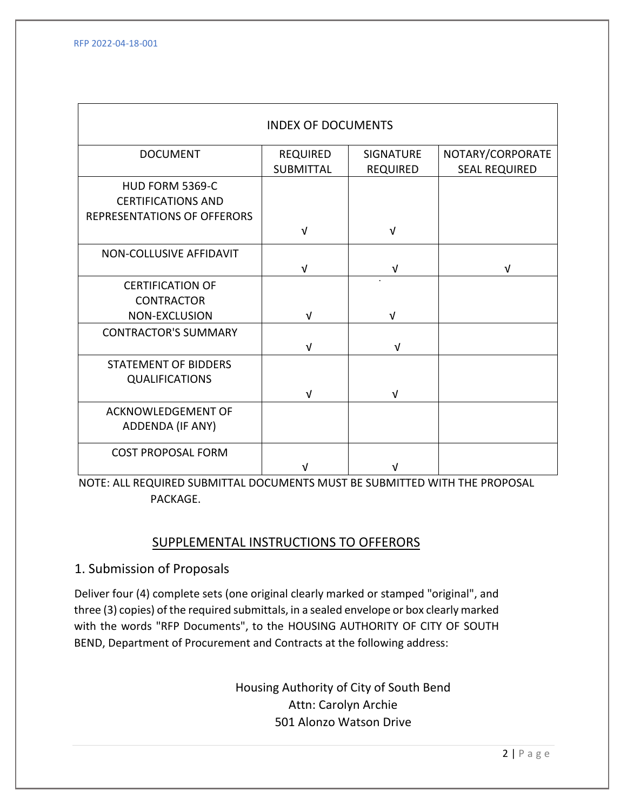|                                                                                    | <b>INDEX OF DOCUMENTS</b>           |                                     |                                          |
|------------------------------------------------------------------------------------|-------------------------------------|-------------------------------------|------------------------------------------|
| <b>DOCUMENT</b>                                                                    | <b>REQUIRED</b><br><b>SUBMITTAL</b> | <b>SIGNATURE</b><br><b>REQUIRED</b> | NOTARY/CORPORATE<br><b>SEAL REQUIRED</b> |
| HUD FORM 5369-C<br><b>CERTIFICATIONS AND</b><br><b>REPRESENTATIONS OF OFFERORS</b> |                                     |                                     |                                          |
|                                                                                    | $\sqrt{ }$                          | $\sqrt{ }$                          |                                          |
| NON-COLLUSIVE AFFIDAVIT                                                            | $\sqrt{ }$                          | $\sqrt{ }$                          | $\sqrt{ }$                               |
| <b>CERTIFICATION OF</b><br><b>CONTRACTOR</b>                                       |                                     |                                     |                                          |
| NON-EXCLUSION                                                                      | $\sqrt{ }$                          | $\sqrt{ }$                          |                                          |
| <b>CONTRACTOR'S SUMMARY</b>                                                        | $\sqrt{ }$                          | $\sqrt{ }$                          |                                          |
| <b>STATEMENT OF BIDDERS</b><br><b>QUALIFICATIONS</b>                               |                                     |                                     |                                          |
|                                                                                    | $\sqrt{ }$                          | $\sqrt{ }$                          |                                          |
| <b>ACKNOWLEDGEMENT OF</b><br>ADDENDA (IF ANY)                                      |                                     |                                     |                                          |
| <b>COST PROPOSAL FORM</b>                                                          |                                     |                                     |                                          |

NOTE: ALL REQUIRED SUBMITTAL DOCUMENTS MUST BE SUBMITTED WITH THE PROPOSAL PACKAGE.

### SUPPLEMENTAL INSTRUCTIONS TO OFFERORS

### 1. Submission of Proposals

Deliver four (4) complete sets (one original clearly marked or stamped "original", and three (3) copies) of the required submittals, in a sealed envelope or box clearly marked with the words "RFP Documents", to the HOUSING AUTHORITY OF CITY OF SOUTH BEND, Department of Procurement and Contracts at the following address:

> Housing Authority of City of South Bend Attn: Carolyn Archie 501 Alonzo Watson Drive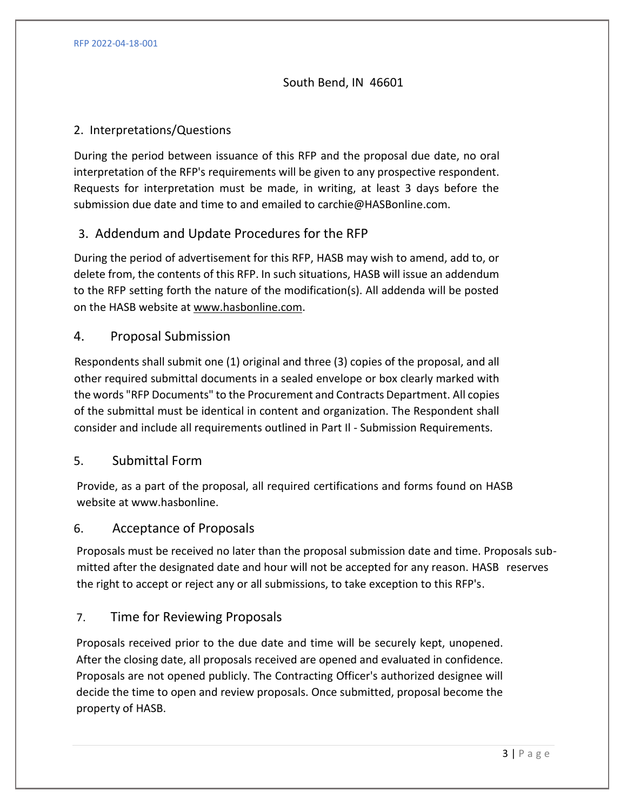### South Bend, IN 46601

### 2. Interpretations/Questions

During the period between issuance of this RFP and the proposal due date, no oral interpretation of the RFP's requirements will be given to any prospective respondent. Requests for interpretation must be made, in writing, at least 3 days before the submission due date and time to and emailed to carchie@HASBonline.com.

### 3. Addendum and Update Procedures for the RFP

During the period of advertisement for this RFP, HASB may wish to amend, add to, or delete from, the contents of this RFP. In such situations, HASB will issue an addendum to the RFP setting forth the nature of the modification(s). All addenda will be posted on the HASB website at www.hasbonline.com.

### 4. Proposal Submission

Respondents shall submit one (1) original and three (3) copies of the proposal, and all other required submittal documents in a sealed envelope or box clearly marked with the words "RFP Documents" to the Procurement and Contracts Department. All copies of the submittal must be identical in content and organization. The Respondent shall consider and include all requirements outlined in Part Il - Submission Requirements.

### 5. Submittal Form

Provide, as a part of the proposal, all required certifications and forms found on HASB website at www.hasbonline.

### 6. Acceptance of Proposals

Proposals must be received no later than the proposal submission date and time. Proposals submitted after the designated date and hour will not be accepted for any reason. HASB reserves the right to accept or reject any or all submissions, to take exception to this RFP's.

### 7. Time for Reviewing Proposals

Proposals received prior to the due date and time will be securely kept, unopened. After the closing date, all proposals received are opened and evaluated in confidence. Proposals are not opened publicly. The Contracting Officer's authorized designee will decide the time to open and review proposals. Once submitted, proposal become the property of HASB.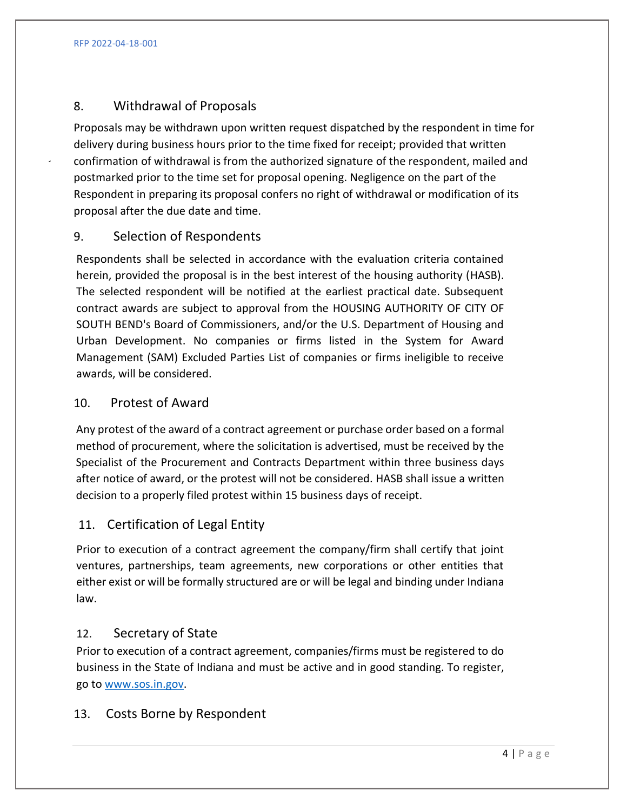# 8. Withdrawal of Proposals

Proposals may be withdrawn upon written request dispatched by the respondent in time for delivery during business hours prior to the time fixed for receipt; provided that written confirmation of withdrawal is from the authorized signature of the respondent, mailed and postmarked prior to the time set for proposal opening. Negligence on the part of the Respondent in preparing its proposal confers no right of withdrawal or modification of its proposal after the due date and time.

### 9. Selection of Respondents

Respondents shall be selected in accordance with the evaluation criteria contained herein, provided the proposal is in the best interest of the housing authority (HASB). The selected respondent will be notified at the earliest practical date. Subsequent contract awards are subject to approval from the HOUSING AUTHORITY OF CITY OF SOUTH BEND's Board of Commissioners, and/or the U.S. Department of Housing and Urban Development. No companies or firms listed in the System for Award Management (SAM) Excluded Parties List of companies or firms ineligible to receive awards, will be considered.

### 10. Protest of Award

Any protest of the award of a contract agreement or purchase order based on a formal method of procurement, where the solicitation is advertised, must be received by the Specialist of the Procurement and Contracts Department within three business days after notice of award, or the protest will not be considered. HASB shall issue a written decision to a properly filed protest within 15 business days of receipt.

### 11. Certification of Legal Entity

Prior to execution of a contract agreement the company/firm shall certify that joint ventures, partnerships, team agreements, new corporations or other entities that either exist or will be formally structured are or will be legal and binding under Indiana law.

### 12. Secretary of State

Prior to execution of a contract agreement, companies/firms must be registered to do business in the State of Indiana and must be active and in good standing. To register, go to [www.sos.in.gov.](http://www.sos.in.gov/)

### 13. Costs Borne by Respondent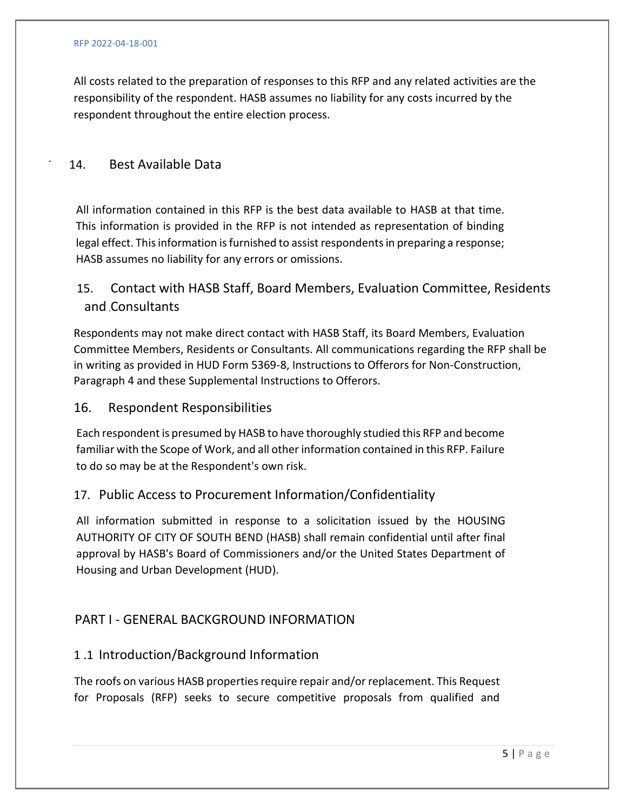#### RFP 2022-04-18-001

All costs related to the preparation of responses to this RFP and any related activities are the responsibility of the respondent. HASB assumes no liability for any costs incurred by the respondent throughout the entire election process.

### 14. Best Available Data

All information contained in this RFP is the best data available to HASB at that time. This information is provided in the RFP is not intended as representation of binding legal effect. This information is furnished to assist respondents in preparing a response; HASB assumes no liability for any errors or omissions.

# 15. Contact with HASB Staff, Board Members, Evaluation Committee, Residents and Consultants

Respondents may not make direct contact with HASB Staff, its Board Members, Evaluation Committee Members, Residents or Consultants. All communications regarding the RFP shall be in writing as provided in HUD Form 5369-8, Instructions to Offerors for Non-Construction, Paragraph 4 and these Supplemental Instructions to Offerors.

### 16. Respondent Responsibilities

Each respondent is presumed by HASB to have thoroughly studied this RFP and become familiar with the Scope of Work, and all other information contained in this RFP. Failure to do so may be at the Respondent's own risk.

### 17. Public Access to Procurement Information/Confidentiality

All information submitted in response to a solicitation issued by the HOUSING AUTHORITY OF CITY OF SOUTH BEND (HASB) shall remain confidential until after final approval by HASB's Board of Commissioners and/or the United States Department of Housing and Urban Development (HUD).

### PART I - GENERAL BACKGROUND INFORMATION

### 1 .1 Introduction/Background Information

The roofs on various HASB properties require repair and/or replacement. This Request for Proposals (RFP) seeks to secure competitive proposals from qualified and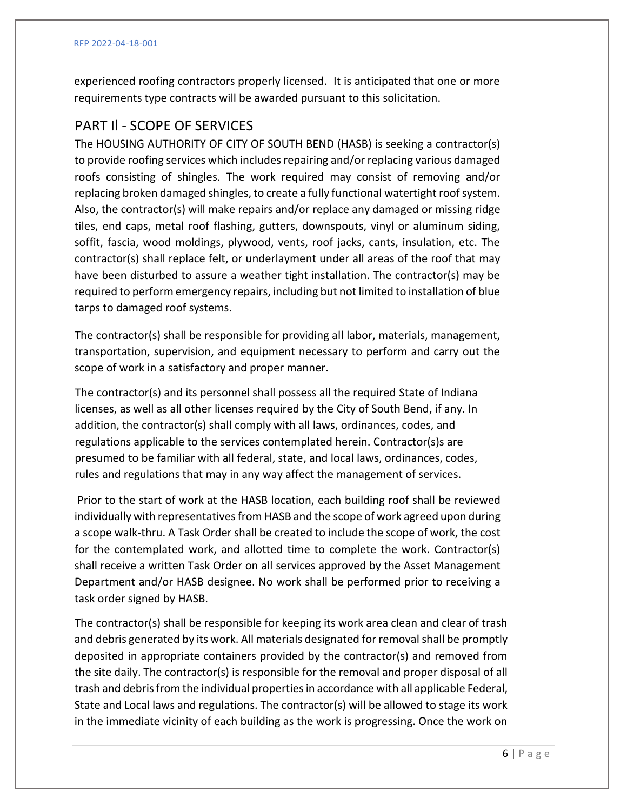experienced roofing contractors properly licensed. It is anticipated that one or more requirements type contracts will be awarded pursuant to this solicitation.

### PART Il - SCOPE OF SERVICES

The HOUSING AUTHORITY OF CITY OF SOUTH BEND (HASB) is seeking a contractor(s) to provide roofing services which includes repairing and/or replacing various damaged roofs consisting of shingles. The work required may consist of removing and/or replacing broken damaged shingles, to create a fully functional watertight roof system. Also, the contractor(s) will make repairs and/or replace any damaged or missing ridge tiles, end caps, metal roof flashing, gutters, downspouts, vinyl or aluminum siding, soffit, fascia, wood moldings, plywood, vents, roof jacks, cants, insulation, etc. The contractor(s) shall replace felt, or underlayment under all areas of the roof that may have been disturbed to assure a weather tight installation. The contractor(s) may be required to perform emergency repairs, including but not limited to installation of blue tarps to damaged roof systems.

The contractor(s) shall be responsible for providing all labor, materials, management, transportation, supervision, and equipment necessary to perform and carry out the scope of work in a satisfactory and proper manner.

The contractor(s) and its personnel shall possess all the required State of Indiana licenses, as well as all other licenses required by the City of South Bend, if any. In addition, the contractor(s) shall comply with all laws, ordinances, codes, and regulations applicable to the services contemplated herein. Contractor(s)s are presumed to be familiar with all federal, state, and local laws, ordinances, codes, rules and regulations that may in any way affect the management of services.

Prior to the start of work at the HASB location, each building roof shall be reviewed individually with representatives from HASB and the scope of work agreed upon during a scope walk-thru. A Task Order shall be created to include the scope of work, the cost for the contemplated work, and allotted time to complete the work. Contractor(s) shall receive a written Task Order on all services approved by the Asset Management Department and/or HASB designee. No work shall be performed prior to receiving a task order signed by HASB.

The contractor(s) shall be responsible for keeping its work area clean and clear of trash and debris generated by its work. All materials designated for removal shall be promptly deposited in appropriate containers provided by the contractor(s) and removed from the site daily. The contractor(s) is responsible for the removal and proper disposal of all trash and debris from the individual properties in accordance with all applicable Federal, State and Local laws and regulations. The contractor(s) will be allowed to stage its work in the immediate vicinity of each building as the work is progressing. Once the work on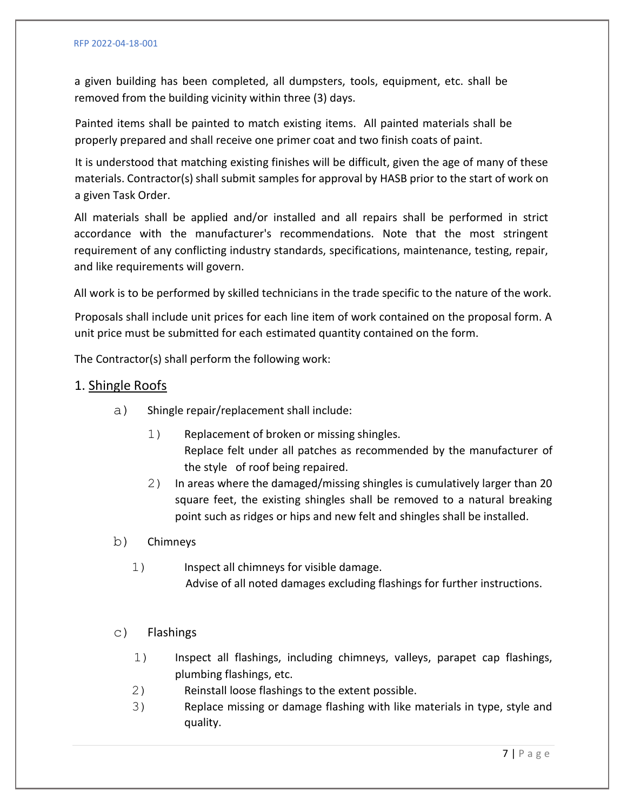a given building has been completed, all dumpsters, tools, equipment, etc. shall be removed from the building vicinity within three (3) days.

Painted items shall be painted to match existing items. All painted materials shall be properly prepared and shall receive one primer coat and two finish coats of paint.

It is understood that matching existing finishes will be difficult, given the age of many of these materials. Contractor(s) shall submit samples for approval by HASB prior to the start of work on a given Task Order.

All materials shall be applied and/or installed and all repairs shall be performed in strict accordance with the manufacturer's recommendations. Note that the most stringent requirement of any conflicting industry standards, specifications, maintenance, testing, repair, and like requirements will govern.

All work is to be performed by skilled technicians in the trade specific to the nature of the work.

Proposals shall include unit prices for each line item of work contained on the proposal form. A unit price must be submitted for each estimated quantity contained on the form.

The Contractor(s) shall perform the following work:

- 1. Shingle Roofs
	- a) Shingle repair/replacement shall include:
		- 1) Replacement of broken or missing shingles. Replace felt under all patches as recommended by the manufacturer of the style of roof being repaired.
		- 2) In areas where the damaged/missing shingles is cumulatively larger than 20 square feet, the existing shingles shall be removed to a natural breaking point such as ridges or hips and new felt and shingles shall be installed.
	- b) Chimneys
		- 1) Inspect all chimneys for visible damage. Advise of all noted damages excluding flashings for further instructions.
	- c) Flashings
		- 1) Inspect all flashings, including chimneys, valleys, parapet cap flashings, plumbing flashings, etc.
		- 2) Reinstall loose flashings to the extent possible.
		- 3) Replace missing or damage flashing with like materials in type, style and quality.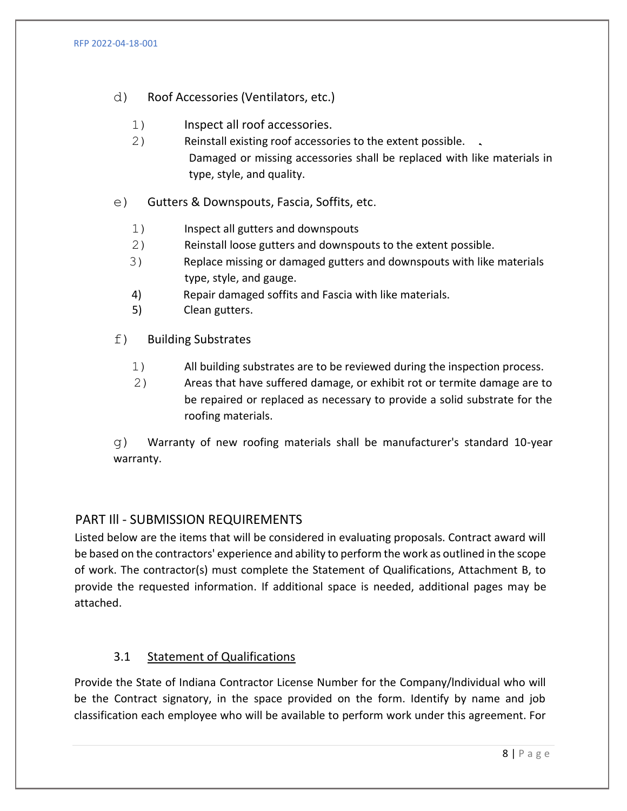- d) Roof Accessories (Ventilators, etc.)
	- 1) Inspect all roof accessories.
	- 2) Reinstall existing roof accessories to the extent possible. Damaged or missing accessories shall be replaced with like materials in type, style, and quality.
- e) Gutters & Downspouts, Fascia, Soffits, etc.
	- 1) Inspect all gutters and downspouts
	- 2) Reinstall loose gutters and downspouts to the extent possible.
	- 3) Replace missing or damaged gutters and downspouts with like materials type, style, and gauge.
	- 4) Repair damaged soffits and Fascia with like materials.
	- 5) Clean gutters.
- f) Building Substrates
	- 1) All building substrates are to be reviewed during the inspection process.
	- 2) Areas that have suffered damage, or exhibit rot or termite damage are to be repaired or replaced as necessary to provide a solid substrate for the roofing materials.

g) Warranty of new roofing materials shall be manufacturer's standard 10-year warranty.

### PART Ill - SUBMISSION REQUIREMENTS

Listed below are the items that will be considered in evaluating proposals. Contract award will be based on the contractors' experience and ability to perform the work as outlined in the scope of work. The contractor(s) must complete the Statement of Qualifications, Attachment B, to provide the requested information. If additional space is needed, additional pages may be attached.

#### 3.1 Statement of Qualifications

Provide the State of Indiana Contractor License Number for the Company/lndividual who will be the Contract signatory, in the space provided on the form. Identify by name and job classification each employee who will be available to perform work under this agreement. For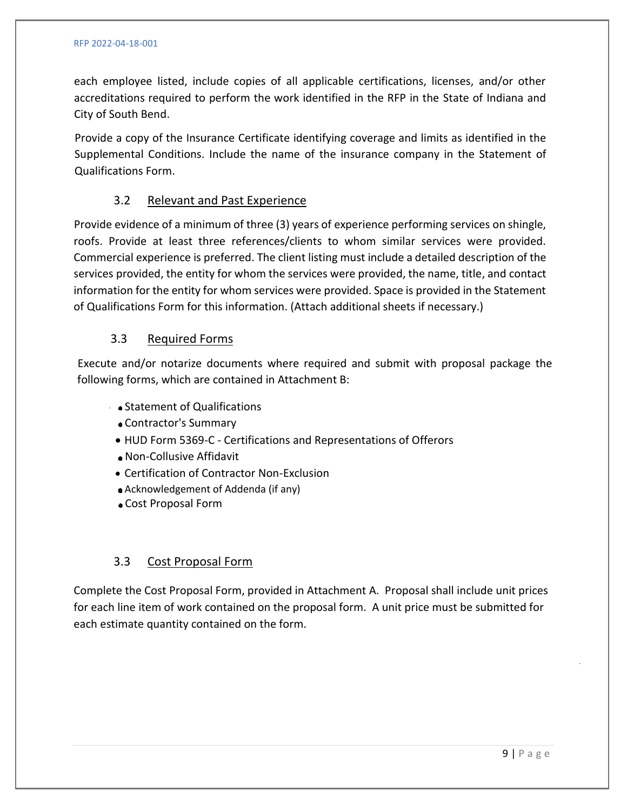each employee listed, include copies of all applicable certifications, licenses, and/or other accreditations required to perform the work identified in the RFP in the State of Indiana and City of South Bend.

Provide a copy of the Insurance Certificate identifying coverage and limits as identified in the Supplemental Conditions. Include the name of the insurance company in the Statement of Qualifications Form.

### 3.2 Relevant and Past Experience

Provide evidence of a minimum of three (3) years of experience performing services on shingle, roofs. Provide at least three references/clients to whom similar services were provided. Commercial experience is preferred. The client listing must include a detailed description of the services provided, the entity for whom the services were provided, the name, title, and contact information for the entity for whom services were provided. Space is provided in the Statement of Qualifications Form for this information. (Attach additional sheets if necessary.)

#### 3.3 Required Forms

Execute and/or notarize documents where required and submit with proposal package the following forms, which are contained in Attachment B:

- **•** Statement of Qualifications
	- Contractor's Summary
- HUD Form 5369-C Certifications and Representations of Offerors
- Non-Collusive Affidavit
- Certification of Contractor Non-Exclusion
- Acknowledgement of Addenda (if any)
- Cost Proposal Form

### 3.3 Cost Proposal Form

Complete the Cost Proposal Form, provided in Attachment A. Proposal shall include unit prices for each line item of work contained on the proposal form. A unit price must be submitted for each estimate quantity contained on the form.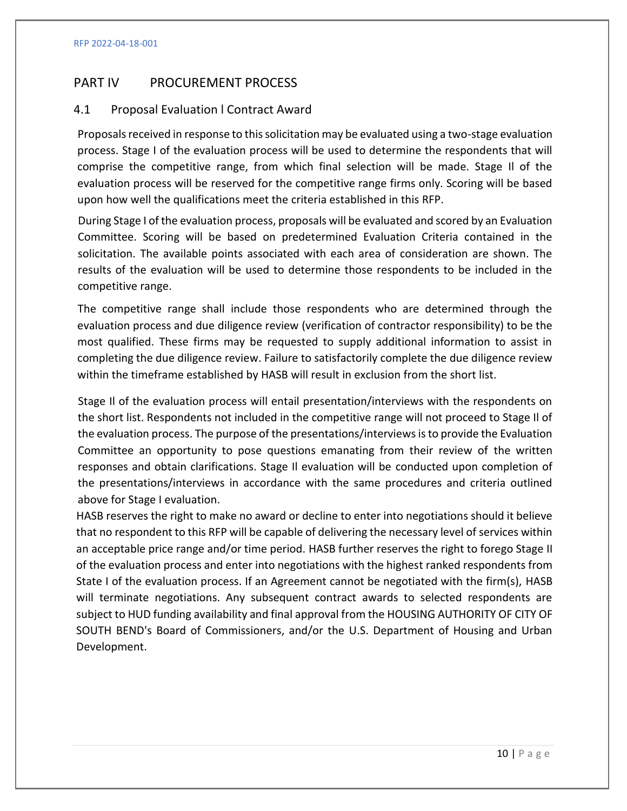### PART IV PROCUREMENT PROCESS

#### 4.1 Proposal Evaluation l Contract Award

Proposals received in response to this solicitation may be evaluated using a two-stage evaluation process. Stage I of the evaluation process will be used to determine the respondents that will comprise the competitive range, from which final selection will be made. Stage Il of the evaluation process will be reserved for the competitive range firms only. Scoring will be based upon how well the qualifications meet the criteria established in this RFP.

During Stage I of the evaluation process, proposals will be evaluated and scored by an Evaluation Committee. Scoring will be based on predetermined Evaluation Criteria contained in the solicitation. The available points associated with each area of consideration are shown. The results of the evaluation will be used to determine those respondents to be included in the competitive range.

The competitive range shall include those respondents who are determined through the evaluation process and due diligence review (verification of contractor responsibility) to be the most qualified. These firms may be requested to supply additional information to assist in completing the due diligence review. Failure to satisfactorily complete the due diligence review within the timeframe established by HASB will result in exclusion from the short list.

Stage Il of the evaluation process will entail presentation/interviews with the respondents on the short list. Respondents not included in the competitive range will not proceed to Stage Il of the evaluation process. The purpose of the presentations/interviews is to provide the Evaluation Committee an opportunity to pose questions emanating from their review of the written responses and obtain clarifications. Stage Il evaluation will be conducted upon completion of the presentations/interviews in accordance with the same procedures and criteria outlined above for Stage I evaluation.

HASB reserves the right to make no award or decline to enter into negotiations should it believe that no respondent to this RFP will be capable of delivering the necessary level of services within an acceptable price range and/or time period. HASB further reserves the right to forego Stage II of the evaluation process and enter into negotiations with the highest ranked respondents from State I of the evaluation process. If an Agreement cannot be negotiated with the firm(s), HASB will terminate negotiations. Any subsequent contract awards to selected respondents are subject to HUD funding availability and final approval from the HOUSING AUTHORITY OF CITY OF SOUTH BEND's Board of Commissioners, and/or the U.S. Department of Housing and Urban Development.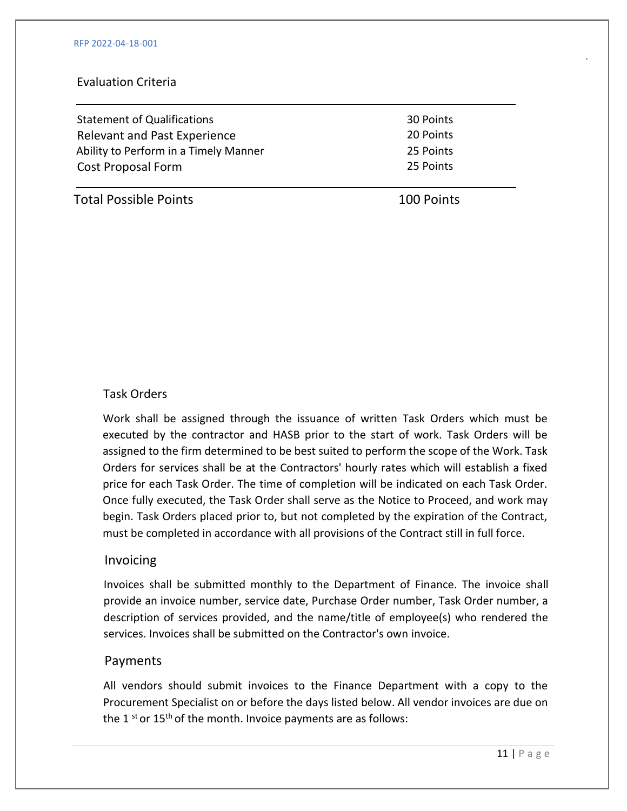Evaluation Criteria

| <b>Statement of Qualifications</b>    | 30 Points |
|---------------------------------------|-----------|
| <b>Relevant and Past Experience</b>   | 20 Points |
| Ability to Perform in a Timely Manner | 25 Points |
| Cost Proposal Form                    | 25 Points |
|                                       |           |

Total Possible Points 100 Points

### Task Orders

Work shall be assigned through the issuance of written Task Orders which must be executed by the contractor and HASB prior to the start of work. Task Orders will be assigned to the firm determined to be best suited to perform the scope of the Work. Task Orders for services shall be at the Contractors' hourly rates which will establish a fixed price for each Task Order. The time of completion will be indicated on each Task Order. Once fully executed, the Task Order shall serve as the Notice to Proceed, and work may begin. Task Orders placed prior to, but not completed by the expiration of the Contract, must be completed in accordance with all provisions of the Contract still in full force.

#### Invoicing

Invoices shall be submitted monthly to the Department of Finance. The invoice shall provide an invoice number, service date, Purchase Order number, Task Order number, a description of services provided, and the name/title of employee(s) who rendered the services. Invoices shall be submitted on the Contractor's own invoice.

#### Payments

All vendors should submit invoices to the Finance Department with a copy to the Procurement Specialist on or before the days listed below. All vendor invoices are due on the 1 $\mathrm{st}$  or 15<sup>th</sup> of the month. Invoice payments are as follows: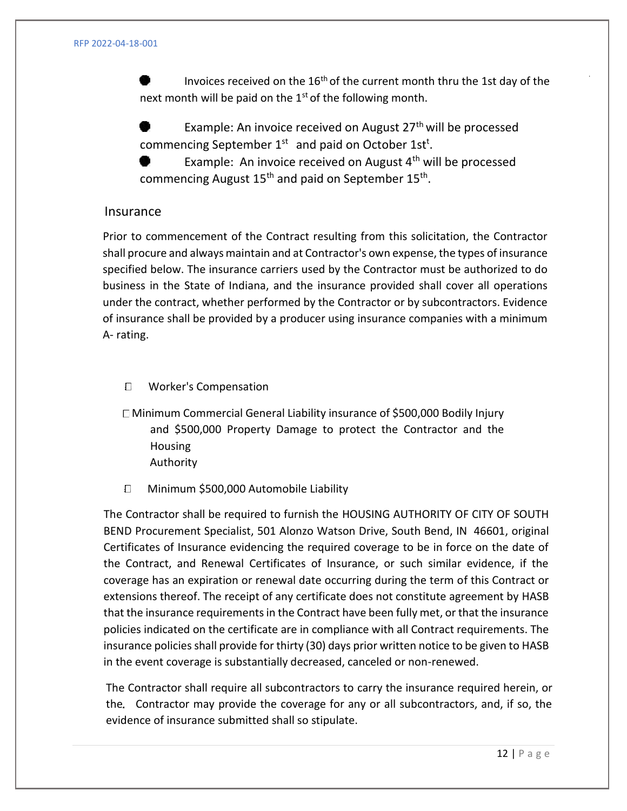Invoices received on the 16th of the current month thru the 1st day of the next month will be paid on the 1<sup>st</sup> of the following month.

Example: An invoice received on August 27<sup>th</sup> will be processed commencing September  $1^{st}$  and paid on October 1st<sup>t</sup>.

Example: An invoice received on August  $4<sup>th</sup>$  will be processed commencing August 15<sup>th</sup> and paid on September 15<sup>th</sup>.

### Insurance

Prior to commencement of the Contract resulting from this solicitation, the Contractor shall procure and always maintain and at Contractor's own expense, the types of insurance specified below. The insurance carriers used by the Contractor must be authorized to do business in the State of Indiana, and the insurance provided shall cover all operations under the contract, whether performed by the Contractor or by subcontractors. Evidence of insurance shall be provided by a producer using insurance companies with a minimum A- rating.

#### $\Box$ Worker's Compensation

Minimum Commercial General Liability insurance of \$500,000 Bodily Injury and \$500,000 Property Damage to protect the Contractor and the Housing Authority

Minimum \$500,000 Automobile Liability  $\Box$ 

The Contractor shall be required to furnish the HOUSING AUTHORITY OF CITY OF SOUTH BEND Procurement Specialist, 501 Alonzo Watson Drive, South Bend, IN 46601, original Certificates of Insurance evidencing the required coverage to be in force on the date of the Contract, and Renewal Certificates of Insurance, or such similar evidence, if the coverage has an expiration or renewal date occurring during the term of this Contract or extensions thereof. The receipt of any certificate does not constitute agreement by HASB that the insurance requirements in the Contract have been fully met, or that the insurance policies indicated on the certificate are in compliance with all Contract requirements. The insurance policies shall provide for thirty (30) days prior written notice to be given to HASB in the event coverage is substantially decreased, canceled or non-renewed.

The Contractor shall require all subcontractors to carry the insurance required herein, or the Contractor may provide the coverage for any or all subcontractors, and, if so, the evidence of insurance submitted shall so stipulate.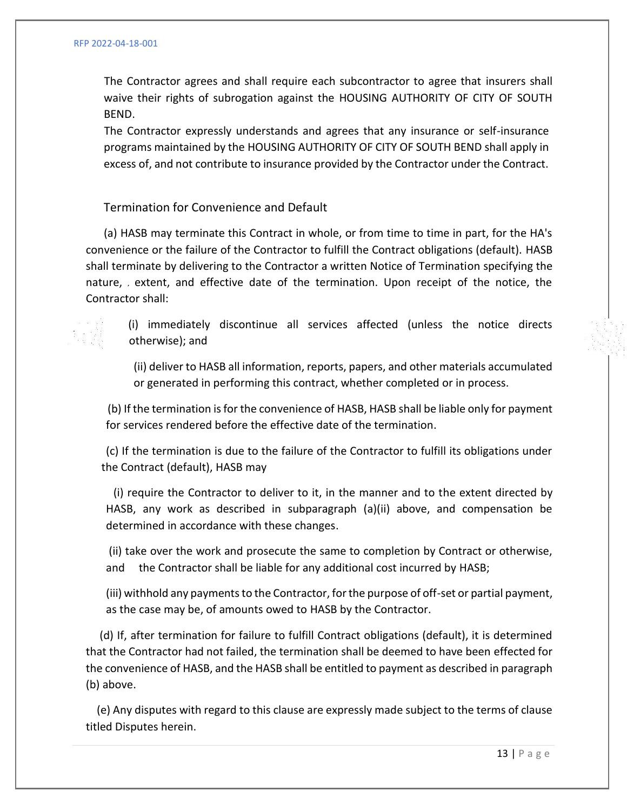The Contractor agrees and shall require each subcontractor to agree that insurers shall waive their rights of subrogation against the HOUSING AUTHORITY OF CITY OF SOUTH BEND.

The Contractor expressly understands and agrees that any insurance or self-insurance programs maintained by the HOUSING AUTHORITY OF CITY OF SOUTH BEND shall apply in excess of, and not contribute to insurance provided by the Contractor under the Contract.

Termination for Convenience and Default

(a) HASB may terminate this Contract in whole, or from time to time in part, for the HA's convenience or the failure of the Contractor to fulfill the Contract obligations (default). HASB shall terminate by delivering to the Contractor a written Notice of Termination specifying the nature,  $\mu$  extent, and effective date of the termination. Upon receipt of the notice, the Contractor shall:

 (i) immediately discontinue all services affected (unless the notice directs otherwise); and

(ii) deliver to HASB all information, reports, papers, and other materials accumulated or generated in performing this contract, whether completed or in process.

(b) If the termination is for the convenience of HASB, HASB shall be liable only for payment for services rendered before the effective date of the termination.

(c) If the termination is due to the failure of the Contractor to fulfill its obligations under the Contract (default), HASB may

(i) require the Contractor to deliver to it, in the manner and to the extent directed by HASB, any work as described in subparagraph (a)(ii) above, and compensation be determined in accordance with these changes.

(ii) take over the work and prosecute the same to completion by Contract or otherwise, and the Contractor shall be liable for any additional cost incurred by HASB;

(iii) withhold any payments to the Contractor, for the purpose of off-set or partial payment, as the case may be, of amounts owed to HASB by the Contractor.

(d) If, after termination for failure to fulfill Contract obligations (default), it is determined that the Contractor had not failed, the termination shall be deemed to have been effected for the convenience of HASB, and the HASB shall be entitled to payment as described in paragraph (b) above.

(e) Any disputes with regard to this clause are expressly made subject to the terms of clause titled Disputes herein.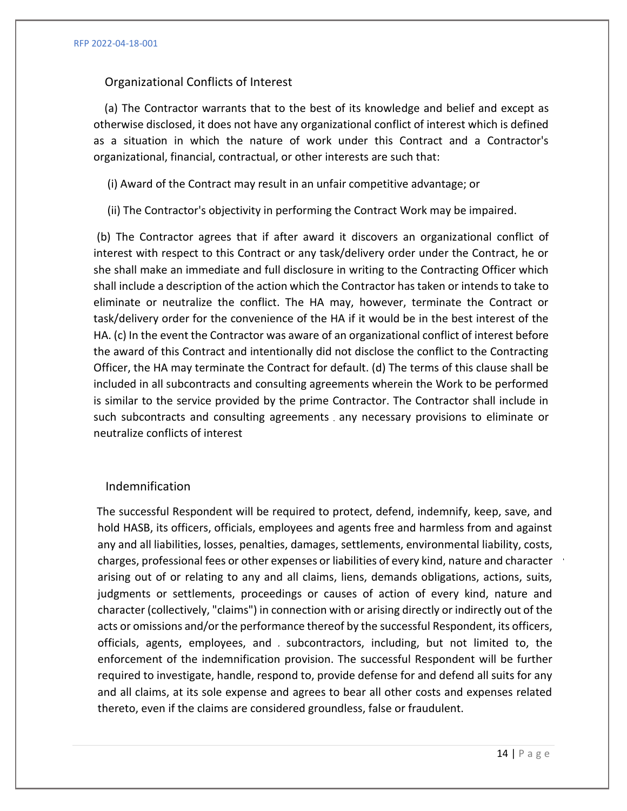#### Organizational Conflicts of Interest

(a) The Contractor warrants that to the best of its knowledge and belief and except as otherwise disclosed, it does not have any organizational conflict of interest which is defined as a situation in which the nature of work under this Contract and a Contractor's organizational, financial, contractual, or other interests are such that:

(i) Award of the Contract may result in an unfair competitive advantage; or

(ii) The Contractor's objectivity in performing the Contract Work may be impaired.

(b) The Contractor agrees that if after award it discovers an organizational conflict of interest with respect to this Contract or any task/delivery order under the Contract, he or she shall make an immediate and full disclosure in writing to the Contracting Officer which shall include a description of the action which the Contractor has taken or intends to take to eliminate or neutralize the conflict. The HA may, however, terminate the Contract or task/delivery order for the convenience of the HA if it would be in the best interest of the HA. (c) In the event the Contractor was aware of an organizational conflict of interest before the award of this Contract and intentionally did not disclose the conflict to the Contracting Officer, the HA may terminate the Contract for default. (d) The terms of this clause shall be included in all subcontracts and consulting agreements wherein the Work to be performed is similar to the service provided by the prime Contractor. The Contractor shall include in such subcontracts and consulting agreements any necessary provisions to eliminate or neutralize conflicts of interest

### Indemnification

The successful Respondent will be required to protect, defend, indemnify, keep, save, and hold HASB, its officers, officials, employees and agents free and harmless from and against any and all liabilities, losses, penalties, damages, settlements, environmental liability, costs, charges, professional fees or other expenses or liabilities of every kind, nature and character arising out of or relating to any and all claims, liens, demands obligations, actions, suits, judgments or settlements, proceedings or causes of action of every kind, nature and character (collectively, "claims") in connection with or arising directly or indirectly out of the acts or omissions and/or the performance thereof by the successful Respondent, its officers, officials, agents, employees, and subcontractors, including, but not limited to, the enforcement of the indemnification provision. The successful Respondent will be further required to investigate, handle, respond to, provide defense for and defend all suits for any and all claims, at its sole expense and agrees to bear all other costs and expenses related thereto, even if the claims are considered groundless, false or fraudulent.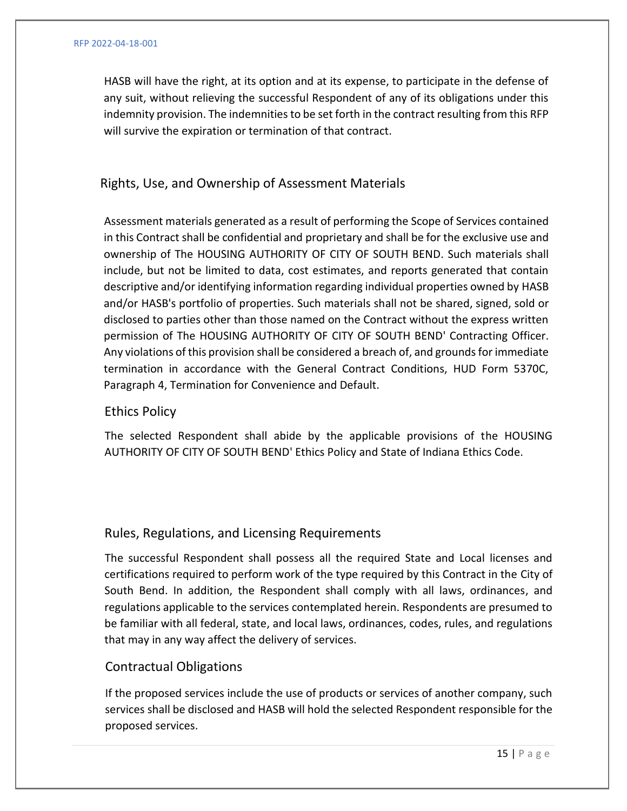HASB will have the right, at its option and at its expense, to participate in the defense of any suit, without relieving the successful Respondent of any of its obligations under this indemnity provision. The indemnities to be set forth in the contract resulting from this RFP will survive the expiration or termination of that contract.

### Rights, Use, and Ownership of Assessment Materials

Assessment materials generated as a result of performing the Scope of Services contained in this Contract shall be confidential and proprietary and shall be for the exclusive use and ownership of The HOUSING AUTHORITY OF CITY OF SOUTH BEND. Such materials shall include, but not be limited to data, cost estimates, and reports generated that contain descriptive and/or identifying information regarding individual properties owned by HASB and/or HASB's portfolio of properties. Such materials shall not be shared, signed, sold or disclosed to parties other than those named on the Contract without the express written permission of The HOUSING AUTHORITY OF CITY OF SOUTH BEND' Contracting Officer. Any violations of this provision shall be considered a breach of, and grounds for immediate termination in accordance with the General Contract Conditions, HUD Form 5370C, Paragraph 4, Termination for Convenience and Default.

### Ethics Policy

The selected Respondent shall abide by the applicable provisions of the HOUSING AUTHORITY OF CITY OF SOUTH BEND' Ethics Policy and State of Indiana Ethics Code.

### Rules, Regulations, and Licensing Requirements

The successful Respondent shall possess all the required State and Local licenses and certifications required to perform work of the type required by this Contract in the City of South Bend. In addition, the Respondent shall comply with all laws, ordinances, and regulations applicable to the services contemplated herein. Respondents are presumed to be familiar with all federal, state, and local laws, ordinances, codes, rules, and regulations that may in any way affect the delivery of services.

### Contractual Obligations

If the proposed services include the use of products or services of another company, such services shall be disclosed and HASB will hold the selected Respondent responsible for the proposed services.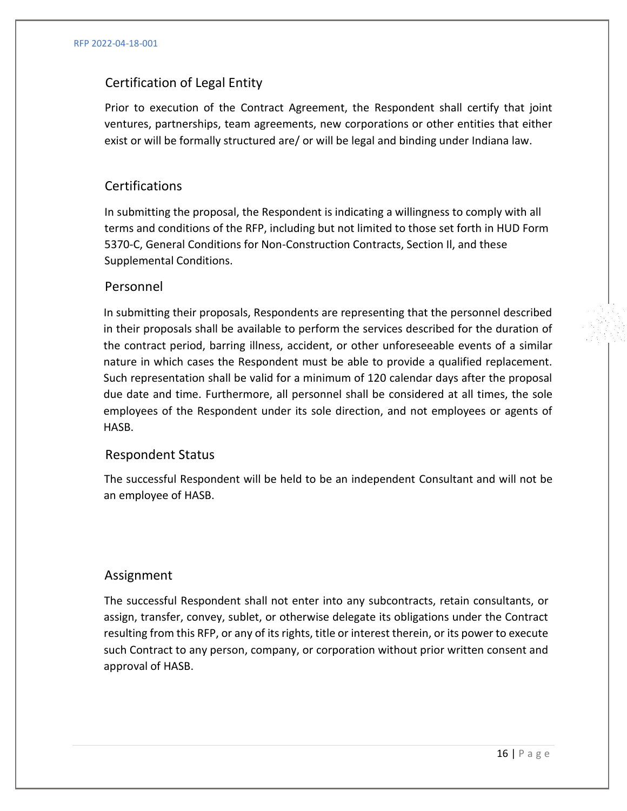### Certification of Legal Entity

Prior to execution of the Contract Agreement, the Respondent shall certify that joint ventures, partnerships, team agreements, new corporations or other entities that either exist or will be formally structured are/ or will be legal and binding under Indiana law.

### **Certifications**

In submitting the proposal, the Respondent is indicating a willingness to comply with all terms and conditions of the RFP, including but not limited to those set forth in HUD Form 5370-C, General Conditions for Non-Construction Contracts, Section Il, and these Supplemental Conditions.

### Personnel

In submitting their proposals, Respondents are representing that the personnel described in their proposals shall be available to perform the services described for the duration of the contract period, barring illness, accident, or other unforeseeable events of a similar nature in which cases the Respondent must be able to provide a qualified replacement. Such representation shall be valid for a minimum of 120 calendar days after the proposal due date and time. Furthermore, all personnel shall be considered at all times, the sole employees of the Respondent under its sole direction, and not employees or agents of HASB.

### Respondent Status

The successful Respondent will be held to be an independent Consultant and will not be an employee of HASB.

### Assignment

The successful Respondent shall not enter into any subcontracts, retain consultants, or assign, transfer, convey, sublet, or otherwise delegate its obligations under the Contract resulting from this RFP, or any of its rights, title or interest therein, or its power to execute such Contract to any person, company, or corporation without prior written consent and approval of HASB.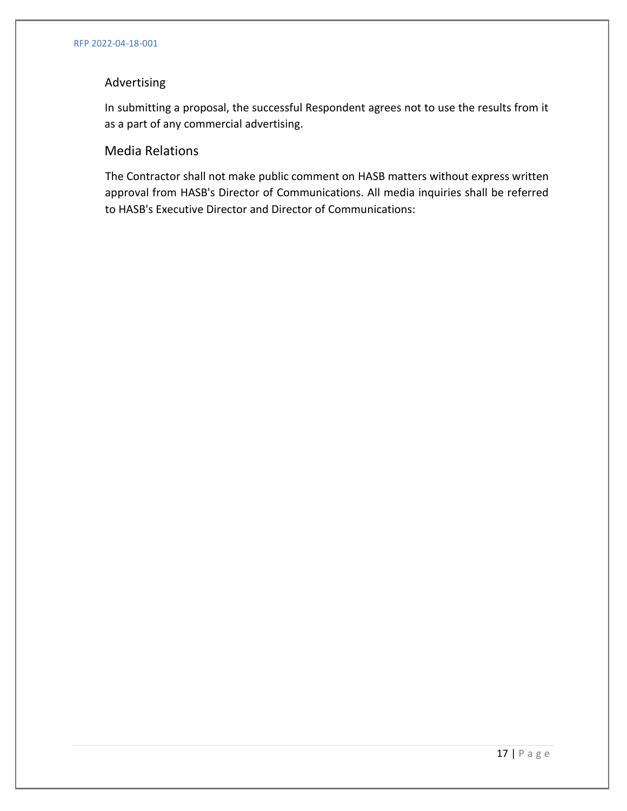### Advertising

In submitting a proposal, the successful Respondent agrees not to use the results from it as a part of any commercial advertising.

### Media Relations

The Contractor shall not make public comment on HASB matters without express written approval from HASB's Director of Communications. All media inquiries shall be referred to HASB's Executive Director and Director of Communications: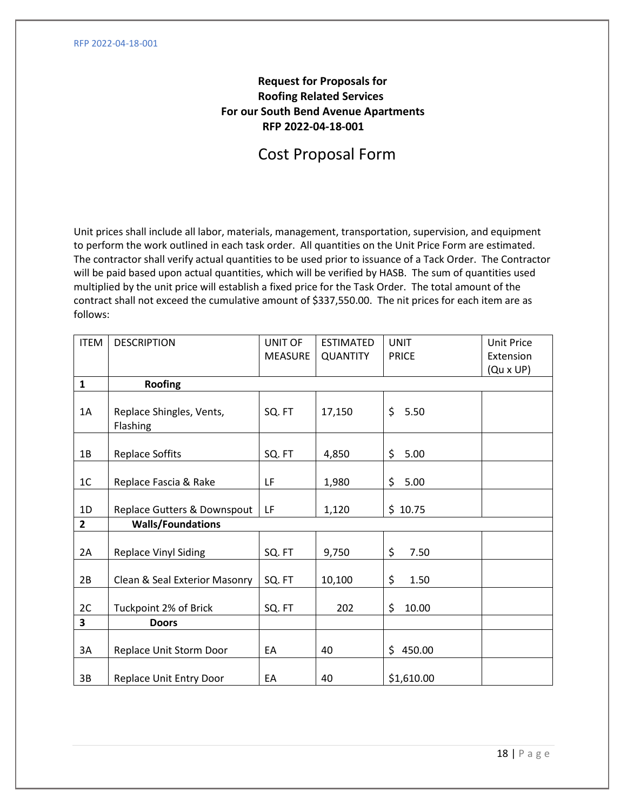### **Request for Proposals for Roofing Related Services For our South Bend Avenue Apartments RFP 2022-04-18-001**

# Cost Proposal Form

Unit prices shall include all labor, materials, management, transportation, supervision, and equipment to perform the work outlined in each task order. All quantities on the Unit Price Form are estimated. The contractor shall verify actual quantities to be used prior to issuance of a Tack Order. The Contractor will be paid based upon actual quantities, which will be verified by HASB. The sum of quantities used multiplied by the unit price will establish a fixed price for the Task Order. The total amount of the contract shall not exceed the cumulative amount of \$337,550.00. The nit prices for each item are as follows:

| <b>ITEM</b>             | <b>DESCRIPTION</b>                   | <b>UNIT OF</b> | <b>ESTIMATED</b> | <b>UNIT</b>  | <b>Unit Price</b> |
|-------------------------|--------------------------------------|----------------|------------------|--------------|-------------------|
|                         |                                      | <b>MEASURE</b> | <b>QUANTITY</b>  | <b>PRICE</b> | Extension         |
|                         |                                      |                |                  |              | (Qu x UP)         |
| $\mathbf{1}$            | <b>Roofing</b>                       |                |                  |              |                   |
| 1A                      | Replace Shingles, Vents,<br>Flashing | SQ. FT         | 17,150           | \$<br>5.50   |                   |
| 1B                      | <b>Replace Soffits</b>               | SQ. FT         | 4,850            | \$<br>5.00   |                   |
| 1 <sup>C</sup>          | Replace Fascia & Rake                | LF             | 1,980            | \$<br>5.00   |                   |
| 1D                      | Replace Gutters & Downspout          | LF             | 1,120            | \$10.75      |                   |
| $\overline{2}$          | <b>Walls/Foundations</b>             |                |                  |              |                   |
| 2A                      | <b>Replace Vinyl Siding</b>          | SQ. FT         | 9,750            | \$<br>7.50   |                   |
| 2B                      | Clean & Seal Exterior Masonry        | SQ. FT         | 10,100           | \$<br>1.50   |                   |
| 2C                      | Tuckpoint 2% of Brick                | SQ. FT         | 202              | \$<br>10.00  |                   |
| $\overline{\mathbf{3}}$ | <b>Doors</b>                         |                |                  |              |                   |
| 3A                      | Replace Unit Storm Door              | EA             | 40               | \$<br>450.00 |                   |
| 3B                      | Replace Unit Entry Door              | EA             | 40               | \$1,610.00   |                   |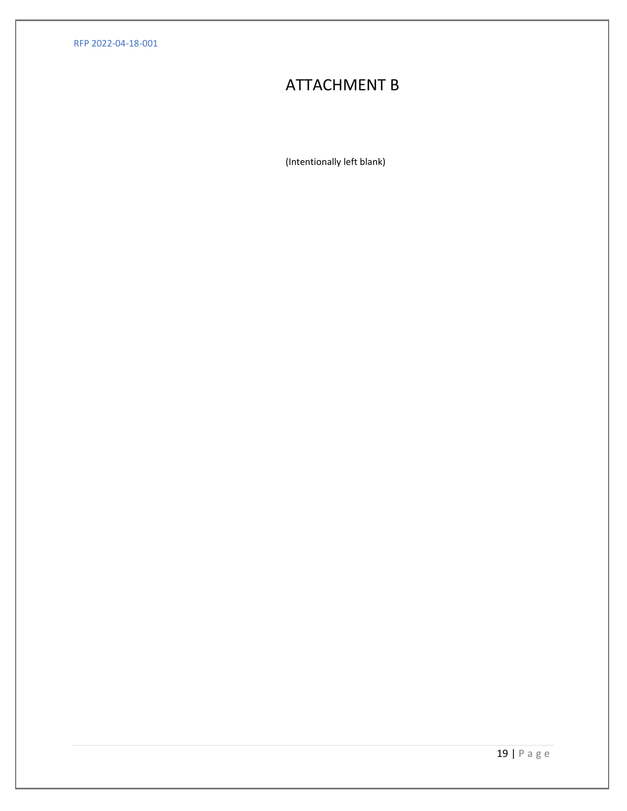RFP 2022-04-18-001

# ATTACHMENT B

(Intentionally left blank)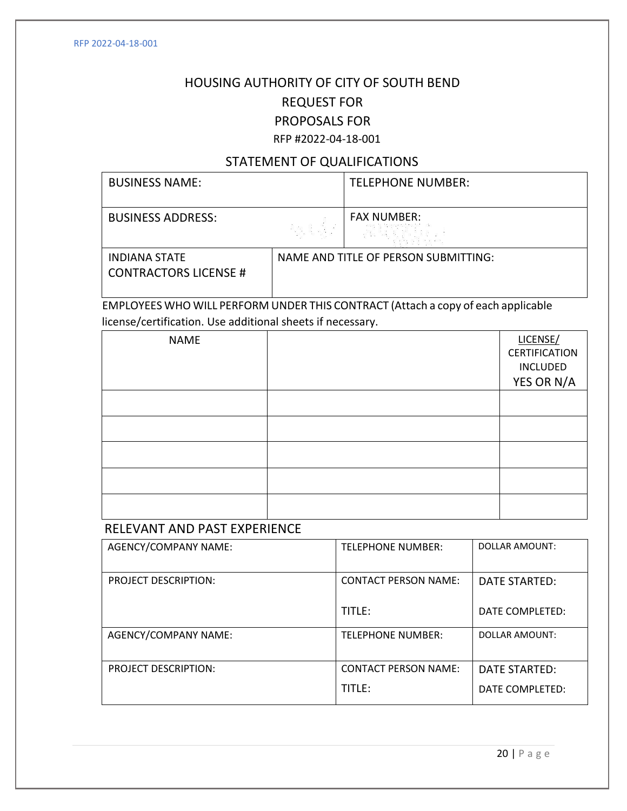# HOUSING AUTHORITY OF CITY OF SOUTH BEND REQUEST FOR PROPOSALS FOR RFP #2022-04-18-001

### STATEMENT OF QUALIFICATIONS

| <b>BUSINESS NAME:</b>                                |       | TELEPHONE NUMBER:                    |
|------------------------------------------------------|-------|--------------------------------------|
| <b>BUSINESS ADDRESS:</b>                             | 정도 한다 | <b>FAX NUMBER:</b>                   |
| <b>INDIANA STATE</b><br><b>CONTRACTORS LICENSE #</b> |       | NAME AND TITLE OF PERSON SUBMITTING: |

EMPLOYEES WHO WILL PERFORM UNDER THIS CONTRACT (Attach a copy of each applicable license/certification. Use additional sheets if necessary.

| <b>NAME</b> | LICENSE/             |
|-------------|----------------------|
|             | <b>CERTIFICATION</b> |
|             | INCLUDED             |
|             | YES OR N/A           |
|             |                      |
|             |                      |
|             |                      |
|             |                      |
|             |                      |
|             |                      |
|             |                      |
|             |                      |
|             |                      |

### RELEVANT AND PAST EXPERIENCE

| AGENCY/COMPANY NAME:        | <b>TELEPHONE NUMBER:</b>    | DOLLAR AMOUNT:  |
|-----------------------------|-----------------------------|-----------------|
| <b>PROJECT DESCRIPTION:</b> | <b>CONTACT PERSON NAME:</b> | DATE STARTED:   |
|                             | TITLE:                      | DATE COMPLETED: |
| AGENCY/COMPANY NAME:        | <b>TELEPHONE NUMBER:</b>    | DOLLAR AMOUNT:  |
| <b>PROJECT DESCRIPTION:</b> | <b>CONTACT PERSON NAME:</b> | DATE STARTED:   |
|                             | TITLE:                      | DATE COMPLETED: |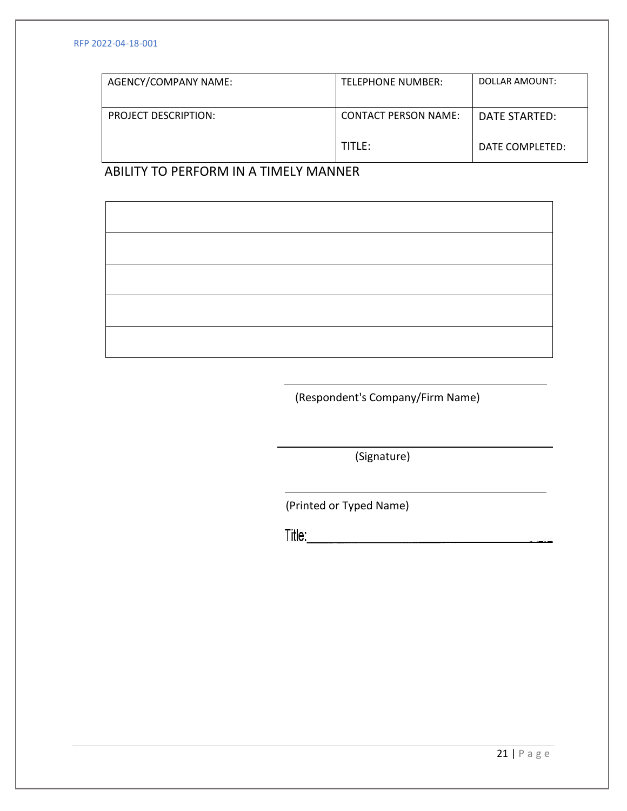#### RFP 2022-04-18-001

| AGENCY/COMPANY NAME:        | TELEPHONE NUMBER:           | DOLLAR AMOUNT:  |
|-----------------------------|-----------------------------|-----------------|
| <b>PROJECT DESCRIPTION:</b> | <b>CONTACT PERSON NAME:</b> | DATE STARTED:   |
|                             | TITLE:                      | DATE COMPLETED: |

ABILITY TO PERFORM IN A TIMELY MANNER

(Respondent's Company/Firm Name)

(Signature)

(Printed or Typed Name)